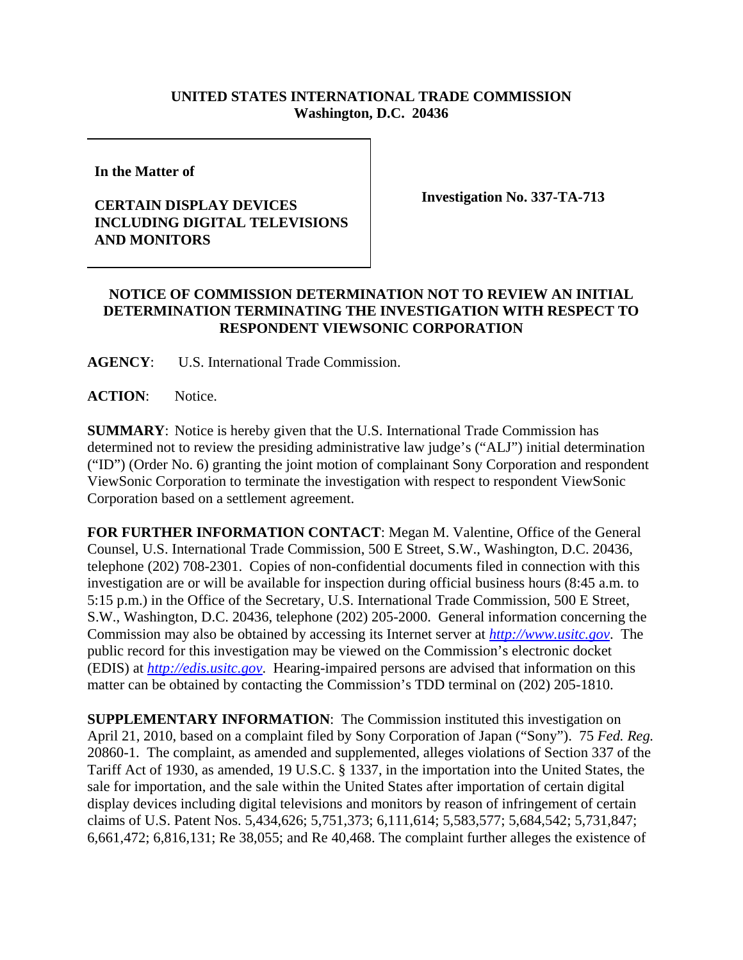## **UNITED STATES INTERNATIONAL TRADE COMMISSION Washington, D.C. 20436**

**In the Matter of** 

## **CERTAIN DISPLAY DEVICES INCLUDING DIGITAL TELEVISIONS AND MONITORS**

**Investigation No. 337-TA-713**

## **NOTICE OF COMMISSION DETERMINATION NOT TO REVIEW AN INITIAL DETERMINATION TERMINATING THE INVESTIGATION WITH RESPECT TO RESPONDENT VIEWSONIC CORPORATION**

**AGENCY**: U.S. International Trade Commission.

**ACTION**: Notice.

**SUMMARY**: Notice is hereby given that the U.S. International Trade Commission has determined not to review the presiding administrative law judge's ("ALJ") initial determination ("ID") (Order No. 6) granting the joint motion of complainant Sony Corporation and respondent ViewSonic Corporation to terminate the investigation with respect to respondent ViewSonic Corporation based on a settlement agreement.

**FOR FURTHER INFORMATION CONTACT**: Megan M. Valentine, Office of the General Counsel, U.S. International Trade Commission, 500 E Street, S.W., Washington, D.C. 20436, telephone (202) 708-2301. Copies of non-confidential documents filed in connection with this investigation are or will be available for inspection during official business hours (8:45 a.m. to 5:15 p.m.) in the Office of the Secretary, U.S. International Trade Commission, 500 E Street, S.W., Washington, D.C. 20436, telephone (202) 205-2000. General information concerning the Commission may also be obtained by accessing its Internet server at *http://www.usitc.gov*. The public record for this investigation may be viewed on the Commission's electronic docket (EDIS) at *http://edis.usitc.gov*. Hearing-impaired persons are advised that information on this matter can be obtained by contacting the Commission's TDD terminal on (202) 205-1810.

**SUPPLEMENTARY INFORMATION:** The Commission instituted this investigation on April 21, 2010, based on a complaint filed by Sony Corporation of Japan ("Sony"). 75 *Fed. Reg.* 20860-1. The complaint, as amended and supplemented, alleges violations of Section 337 of the Tariff Act of 1930, as amended, 19 U.S.C. § 1337, in the importation into the United States, the sale for importation, and the sale within the United States after importation of certain digital display devices including digital televisions and monitors by reason of infringement of certain claims of U.S. Patent Nos. 5,434,626; 5,751,373; 6,111,614; 5,583,577; 5,684,542; 5,731,847; 6,661,472; 6,816,131; Re 38,055; and Re 40,468. The complaint further alleges the existence of